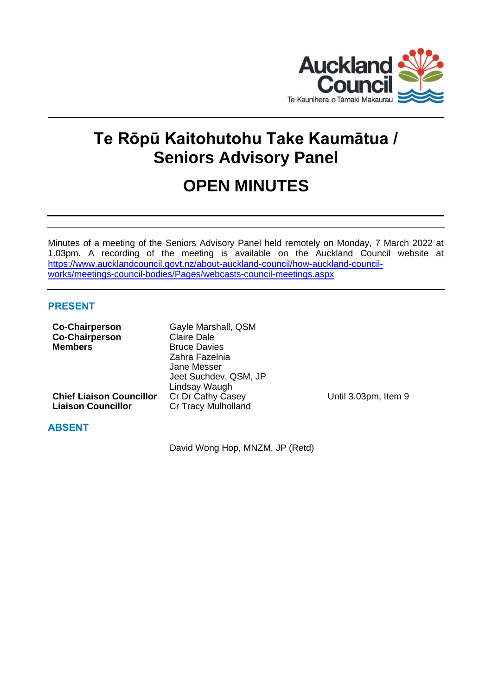

# **Te Rōpū Kaitohutohu Take Kaumātua / Seniors Advisory Panel**

# **OPEN MINUTES**

Minutes of a meeting of the Seniors Advisory Panel held remotely on Monday, 7 March 2022 at 1.03pm. A recording of the meeting is available on the Auckland Council website at [https://www.aucklandcouncil.govt.nz/about-auckland-council/how-auckland-council](https://www.aucklandcouncil.govt.nz/about-auckland-council/how-auckland-council-works/meetings-council-bodies/Pages/webcasts-council-meetings.aspx)[works/meetings-council-bodies/Pages/webcasts-council-meetings.aspx](https://www.aucklandcouncil.govt.nz/about-auckland-council/how-auckland-council-works/meetings-council-bodies/Pages/webcasts-council-meetings.aspx)

# **PRESENT**

| <b>Co-Chairperson</b>           | Gayle Marshall, QSM        |                      |
|---------------------------------|----------------------------|----------------------|
| <b>Co-Chairperson</b>           | <b>Claire Dale</b>         |                      |
| <b>Members</b>                  | <b>Bruce Davies</b>        |                      |
|                                 | Zahra Fazelnia             |                      |
|                                 | Jane Messer                |                      |
|                                 | Jeet Suchdev, QSM, JP      |                      |
|                                 | Lindsay Waugh              |                      |
| <b>Chief Liaison Councillor</b> | Cr Dr Cathy Casey          | Until 3.03pm, Item 9 |
| <b>Liaison Councillor</b>       | <b>Cr Tracy Mulholland</b> |                      |
| <b>ABSENT</b>                   |                            |                      |

David Wong Hop, MNZM, JP (Retd)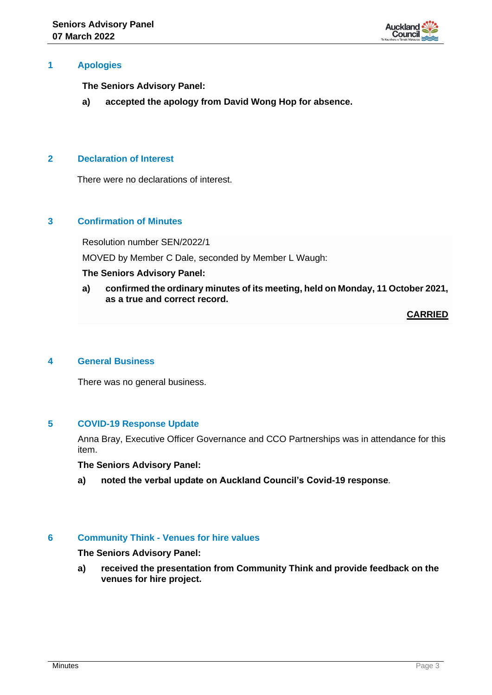

## **1 Apologies**

**The Seniors Advisory Panel:**

**a) accepted the apology from David Wong Hop for absence.**

# **2 Declaration of Interest**

There were no declarations of interest.

## **3 Confirmation of Minutes**

Resolution number SEN/2022/1

MOVED by Member C Dale, seconded by Member L Waugh:

#### **The Seniors Advisory Panel:**

**a) confirmed the ordinary minutes of its meeting, held on Monday, 11 October 2021, as a true and correct record.**

**CARRIED**

## **4 General Business**

There was no general business.

## **5 COVID-19 Response Update**

Anna Bray, Executive Officer Governance and CCO Partnerships was in attendance for this item.

**The Seniors Advisory Panel:**

**a) noted the verbal update on Auckland Council's Covid-19 response**.

#### **6 Community Think - Venues for hire values**

**The Seniors Advisory Panel:**

**a) received the presentation from Community Think and provide feedback on the venues for hire project.**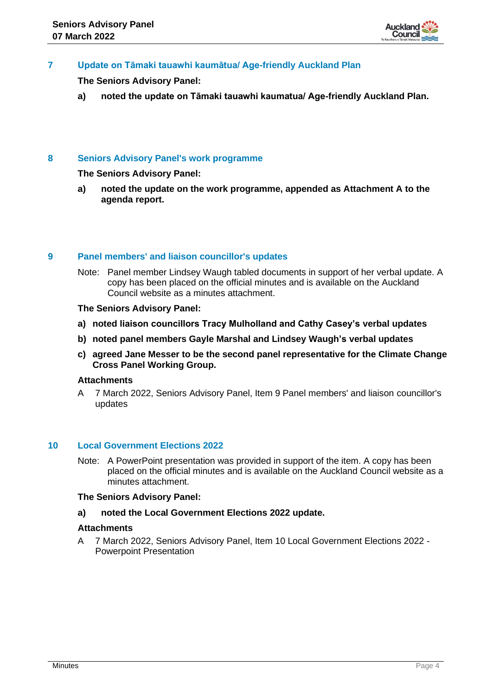

# **7 Update on Tāmaki tauawhi kaumātua/ Age-friendly Auckland Plan**

**The Seniors Advisory Panel:**

**a) noted the update on Tāmaki tauawhi kaumatua/ Age-friendly Auckland Plan.**

## **8 Seniors Advisory Panel's work programme**

**The Seniors Advisory Panel:**

**a) noted the update on the work programme, appended as Attachment A to the agenda report.**

### **9 Panel members' and liaison councillor's updates**

Note: Panel member Lindsey Waugh tabled documents in support of her verbal update. A copy has been placed on the official minutes and is available on the Auckland Council website as a minutes attachment.

### **The Seniors Advisory Panel:**

- **a) noted liaison councillors Tracy Mulholland and Cathy Casey's verbal updates**
- **b) noted panel members Gayle Marshal and Lindsey Waugh's verbal updates**
- **c) agreed Jane Messer to be the second panel representative for the Climate Change Cross Panel Working Group.**

### **Attachments**

A 7 March 2022, Seniors Advisory Panel, Item 9 Panel members' and liaison councillor's updates

#### **10 Local Government Elections 2022**

Note: A PowerPoint presentation was provided in support of the item. A copy has been placed on the official minutes and is available on the Auckland Council website as a minutes attachment.

#### **The Seniors Advisory Panel:**

**a) noted the Local Government Elections 2022 update.**

#### **Attachments**

A 7 March 2022, Seniors Advisory Panel, Item 10 Local Government Elections 2022 - Powerpoint Presentation